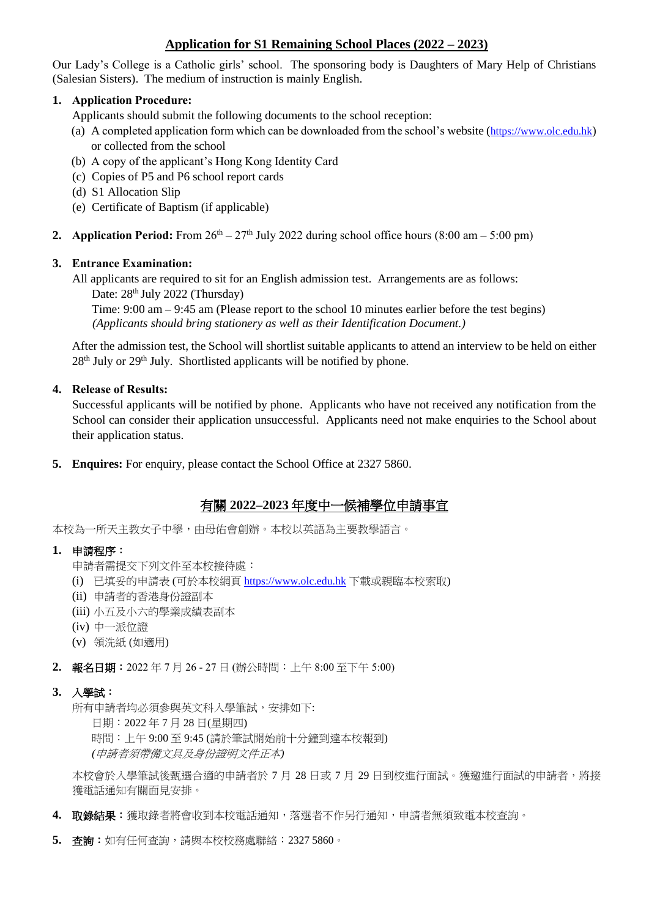# **Application for S1 Remaining School Places (2022 – 2023)**

Our Lady's College is a Catholic girls' school. The sponsoring body is Daughters of Mary Help of Christians (Salesian Sisters). The medium of instruction is mainly English.

## **1. Application Procedure:**

Applicants should submit the following documents to the school reception:

- (a) A completed application form which can be downloaded from the school's website ([https://www.olc.edu.hk](https://www.olc.edu.hk/)) or collected from the school
- (b) A copy of the applicant's Hong Kong Identity Card
- (c) Copies of P5 and P6 school report cards
- (d) S1 Allocation Slip
- (e) Certificate of Baptism (if applicable)
- **2. Application Period:** From  $26<sup>th</sup> 27<sup>th</sup>$  July 2022 during school office hours (8:00 am 5:00 pm)

## **3. Entrance Examination:**

All applicants are required to sit for an English admission test. Arrangements are as follows: Date:  $28<sup>th</sup>$  July 2022 (Thursday)

Time: 9:00 am – 9:45 am (Please report to the school 10 minutes earlier before the test begins) *(Applicants should bring stationery as well as their Identification Document.)*

After the admission test, the School will shortlist suitable applicants to attend an interview to be held on either  $28<sup>th</sup>$  July or  $29<sup>th</sup>$  July. Shortlisted applicants will be notified by phone.

## **4. Release of Results:**

Successful applicants will be notified by phone. Applicants who have not received any notification from the School can consider their application unsuccessful. Applicants need not make enquiries to the School about their application status.

**5. Enquires:** For enquiry, please contact the School Office at 2327 5860.

# 有關 **2022–2023** 年度中一候補學位申請事宜

本校為一所天主教女子中學,由母佑會創辦。本校以英語為主要教學語言。

#### **1.** 申請程序:

- 申請者需提交下列文件至本校接待處:
- (i) 已填妥的申請表 (可於本校網頁 [https://www.olc.edu.hk](https://www.olc.edu.hk/) 下載或親臨本校索取)
- (ii) 申請者的香港身份證副本
- (iii) 小五及小六的學業成績表副本
- (iv) 中一派位證
- (v) 領洗紙 (如適用)

**2.** 報名日期:2022 年 7 月 26 - 27 日 (辦公時間:上午 8:00 至下午 5:00)

#### **3.** 入學試:

所有申請者均必須參與英文科入學筆試,安排如下:

日期:2022 年 7 月 28 日(星期四)

時間:上午 9:00 至 9:45 (請於筆試開始前十分鐘到達本校報到) *(*申請者須帶備文具及身份證明文件正本*)*

本校會於入學筆試後甄選合適的申請者於 7 月 28 日或 7 月 29 日到校進行面試。獲邀進行面試的申請者,將接 獲電話通知有關面見安排。

- **4.** 取錄結果:獲取錄者將會收到本校電話通知,落選者不作另行通知,申請者無須致電本校查詢。
- **5.** 查詢:如有任何查詢,請與本校校務處聯絡:2327 5860。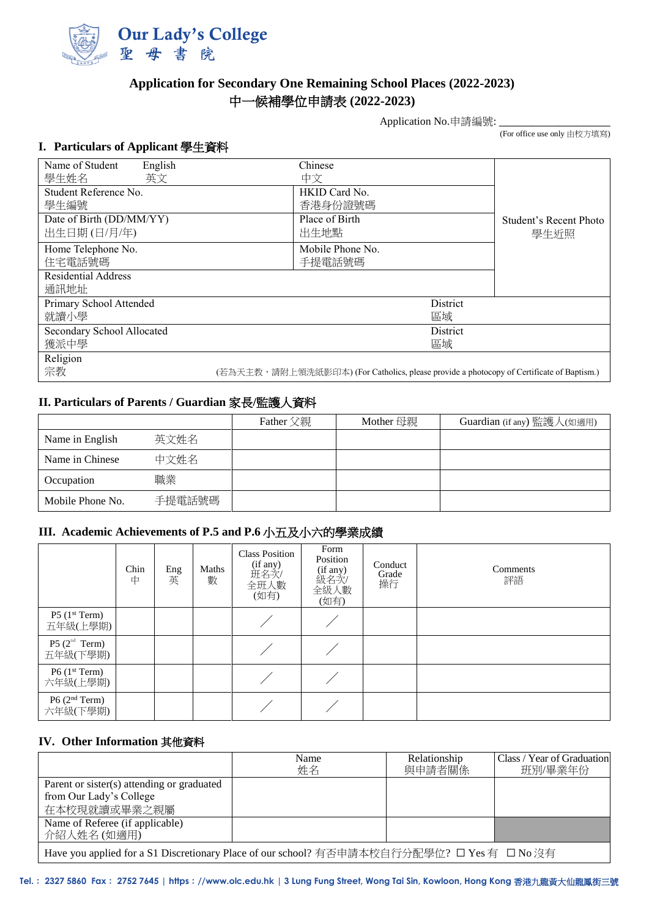

# **Application for Secondary One Remaining School Places (2022-2023)** 中一候補學位申請表 **(2022-2023)**

Application No.申請編號:

(For office use only 由校方填寫)

## **I. Particulars of Applicant** 學生資料

| Name of Student<br>English<br>學生姓名<br>英文 | Chinese<br>中文                                                                            |                                |
|------------------------------------------|------------------------------------------------------------------------------------------|--------------------------------|
| Student Reference No.<br>學生編號            | HKID Card No.<br>香港身份證號碼                                                                 |                                |
| Date of Birth (DD/MM/YY)<br>出生日期(日/月/年)  | Place of Birth<br>出生地點                                                                   | Student's Recent Photo<br>學生近照 |
| Home Telephone No.<br>住宅電話號碼             | Mobile Phone No.<br>手提電話號碼                                                               |                                |
| <b>Residential Address</b><br>通訊地址       |                                                                                          |                                |
| Primary School Attended<br>就讀小學          | District<br>區域                                                                           |                                |
| Secondary School Allocated<br>獲派中學       | District<br>區域                                                                           |                                |
| Religion<br>宗教                           | (若為天主教,請附上領洗紙影印本) (For Catholics, please provide a photocopy of Certificate of Baptism.) |                                |

# **II. Particulars of Parents / Guardian** 家長**/**監護人資料

|                  |        | Father 父親 | Mother 母親 | Guardian (if any) 監護人(如適用) |
|------------------|--------|-----------|-----------|----------------------------|
| Name in English  | 英文姓名   |           |           |                            |
| Name in Chinese  | 中文姓名   |           |           |                            |
| Occupation       | 職業     |           |           |                            |
| Mobile Phone No. | 手提電話號碼 |           |           |                            |

# **III. Academic Achievements of P.5 and P.6** 小五及小六的學業成績

|                                         | Chin<br>中 | Eng<br>英 | Maths<br>數 | <b>Class Position</b><br>(if any)<br>班名次/<br>全班人數<br>(如有) | Form<br>Position<br>(if any)<br>級名次/<br>全級人數<br>(如有) | Conduct<br>Grade<br>操行 | Comments<br>評語 |
|-----------------------------------------|-----------|----------|------------|-----------------------------------------------------------|------------------------------------------------------|------------------------|----------------|
| $P5$ (1 <sup>st</sup> Term)<br>五年級(上學期) |           |          |            |                                                           |                                                      |                        |                |
| P5 $(2nd Term)$<br>五年級(下學期)             |           |          |            |                                                           |                                                      |                        |                |
| $P6$ (1 <sup>st</sup> Term)<br>六年級(上學期) |           |          |            |                                                           |                                                      |                        |                |
| P6(2 <sup>nd</sup> Term)<br>六年級(下學期)    |           |          |            |                                                           |                                                      |                        |                |

#### **IV. Other Information** 其他資料

|                                                                                            | Name<br>姓名 | Relationship<br>與申請者關係 | Class / Year of Graduation<br>班別/畢業年份 |  |  |
|--------------------------------------------------------------------------------------------|------------|------------------------|---------------------------------------|--|--|
| Parent or sister(s) attending or graduated                                                 |            |                        |                                       |  |  |
| from Our Lady's College                                                                    |            |                        |                                       |  |  |
| 在本校現就讀或畢業之親屬                                                                               |            |                        |                                       |  |  |
| Name of Referee (if applicable)                                                            |            |                        |                                       |  |  |
| 介紹人姓名(如適用)                                                                                 |            |                        |                                       |  |  |
| Have you applied for a S1 Discretionary Place of our school? 有否申請本校自行分配學位? □ Yes 有 □ No 沒有 |            |                        |                                       |  |  |